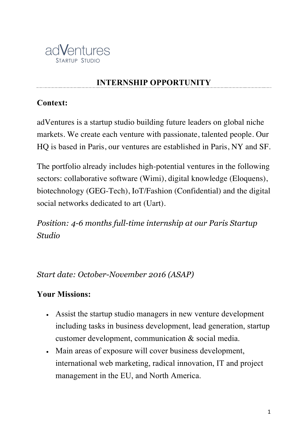

# **INTERNSHIP OPPORTUNITY**

#### **Context:**

adVentures is a startup studio building future leaders on global niche markets. We create each venture with passionate, talented people. Our HQ is based in Paris, our ventures are established in Paris, NY and SF.

The portfolio already includes high-potential ventures in the following sectors: collaborative software (Wimi), digital knowledge (Eloquens), biotechnology (GEG-Tech), IoT/Fashion (Confidential) and the digital social networks dedicated to art (Uart).

*Position: 4-6 months full-time internship at our Paris Startup Studio*

*Start date: October-November 2016 (ASAP)*

## **Your Missions:**

- Assist the startup studio managers in new venture development including tasks in business development, lead generation, startup customer development, communication & social media.
- Main areas of exposure will cover business development, international web marketing, radical innovation, IT and project management in the EU, and North America.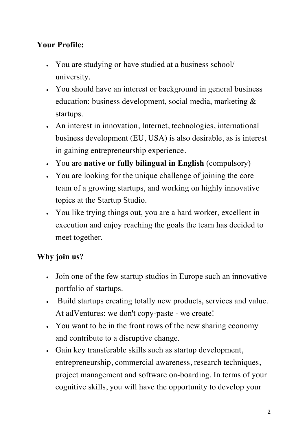# **Your Profile:**

- You are studying or have studied at a business school/ university.
- You should have an interest or background in general business education: business development, social media, marketing & startups.
- An interest in innovation, Internet, technologies, international business development (EU, USA) is also desirable, as is interest in gaining entrepreneurship experience.
- You are **native or fully bilingual in English** (compulsory)
- You are looking for the unique challenge of joining the core team of a growing startups, and working on highly innovative topics at the Startup Studio.
- You like trying things out, you are a hard worker, excellent in execution and enjoy reaching the goals the team has decided to meet together.

# **Why join us?**

- Join one of the few startup studios in Europe such an innovative portfolio of startups.
- Build startups creating totally new products, services and value. At adVentures: we don't copy-paste - we create!
- You want to be in the front rows of the new sharing economy and contribute to a disruptive change.
- Gain key transferable skills such as startup development, entrepreneurship, commercial awareness, research techniques, project management and software on-boarding. In terms of your cognitive skills, you will have the opportunity to develop your